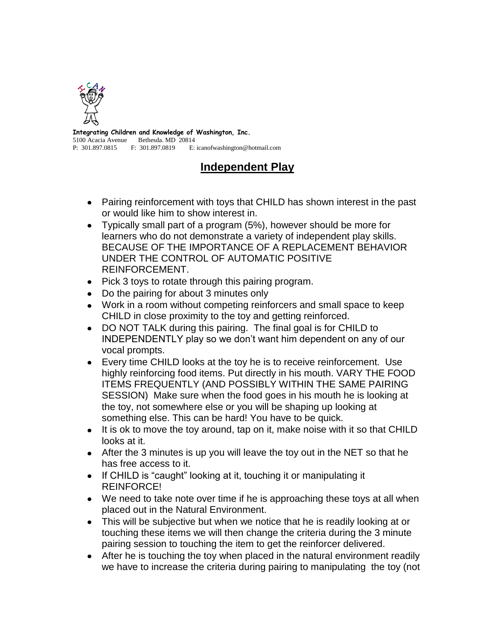

**Integrating Children and Knowledge of Washington, Inc.** 5100 Acacia Avenue Bethesda. MD 20814 P: 301.897.0815 F: 301.897.0819 E: icanofwashington@hotmail.com

## **Independent Play**

- Pairing reinforcement with toys that CHILD has shown interest in the past or would like him to show interest in.
- Typically small part of a program (5%), however should be more for learners who do not demonstrate a variety of independent play skills. BECAUSE OF THE IMPORTANCE OF A REPLACEMENT BEHAVIOR UNDER THE CONTROL OF AUTOMATIC POSITIVE REINFORCEMENT.
- Pick 3 toys to rotate through this pairing program.
- Do the pairing for about 3 minutes only
- Work in a room without competing reinforcers and small space to keep CHILD in close proximity to the toy and getting reinforced.
- DO NOT TALK during this pairing. The final goal is for CHILD to INDEPENDENTLY play so we don't want him dependent on any of our vocal prompts.
- Every time CHILD looks at the toy he is to receive reinforcement. Use highly reinforcing food items. Put directly in his mouth. VARY THE FOOD ITEMS FREQUENTLY (AND POSSIBLY WITHIN THE SAME PAIRING SESSION) Make sure when the food goes in his mouth he is looking at the toy, not somewhere else or you will be shaping up looking at something else. This can be hard! You have to be quick.
- It is ok to move the toy around, tap on it, make noise with it so that CHILD looks at it.
- After the 3 minutes is up you will leave the toy out in the NET so that he has free access to it.
- If CHILD is "caught" looking at it, touching it or manipulating it REINFORCE!
- We need to take note over time if he is approaching these toys at all when placed out in the Natural Environment.
- This will be subjective but when we notice that he is readily looking at or touching these items we will then change the criteria during the 3 minute pairing session to touching the item to get the reinforcer delivered.
- After he is touching the toy when placed in the natural environment readily we have to increase the criteria during pairing to manipulating the toy (not